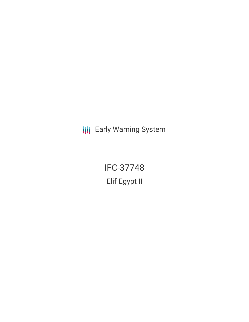**III** Early Warning System

IFC-37748 Elif Egypt II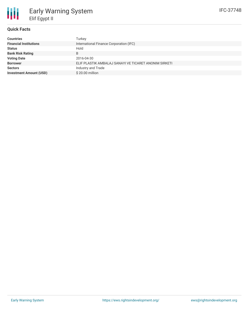### **Quick Facts**

| <b>Countries</b>               | Turkey                                                |
|--------------------------------|-------------------------------------------------------|
| <b>Financial Institutions</b>  | International Finance Corporation (IFC)               |
| <b>Status</b>                  | Hold                                                  |
| <b>Bank Risk Rating</b>        | B                                                     |
| <b>Voting Date</b>             | 2016-04-30                                            |
| <b>Borrower</b>                | ELIF PLASTIK AMBALAJ SANAYI VE TICARET ANONIM SIRKETI |
| <b>Sectors</b>                 | Industry and Trade                                    |
| <b>Investment Amount (USD)</b> | $$20.00$ million                                      |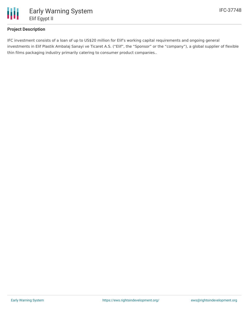

# **Project Description**

IFC investment consists of a loan of up to US\$20 million for Elif's working capital requirements and ongoing general investments in Elif Plastik Ambalaj Sanayi ve Ticaret A.S. ("Elif", the "Sponsor" or the "company"), a global supplier of flexible thin films packaging industry primarily catering to consumer product companies..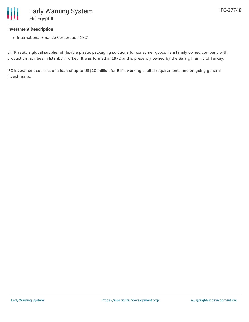# **Investment Description**

• International Finance Corporation (IFC)

Elif Plastik, a global supplier of flexible plastic packaging solutions for consumer goods, is a family owned company with production facilities in Istanbul, Turkey. It was formed in 1972 and is presently owned by the Salargil family of Turkey.

IFC investment consists of a loan of up to US\$20 million for Elif's working capital requirements and on-going general investments.